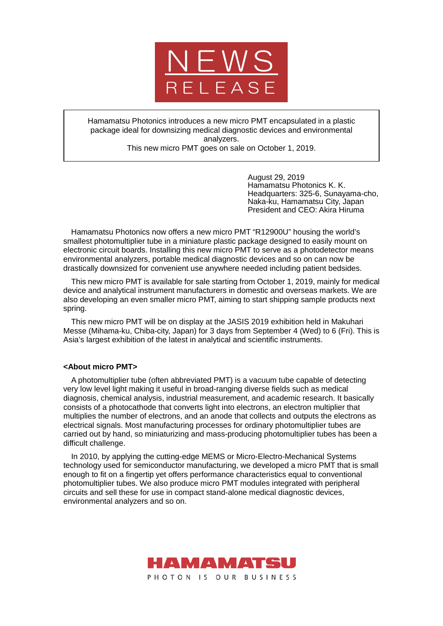

Hamamatsu Photonics introduces a new micro PMT encapsulated in a plastic package ideal for downsizing medical diagnostic devices and environmental analyzers.

This new micro PMT goes on sale on October 1, 2019.

August 29, 2019 Hamamatsu Photonics K. K. Headquarters: 325-6, Sunayama-cho, Naka-ku, Hamamatsu City, Japan President and CEO: Akira Hiruma

Hamamatsu Photonics now offers a new micro PMT "R12900U" housing the world's smallest photomultiplier tube in a miniature plastic package designed to easily mount on electronic circuit boards. Installing this new micro PMT to serve as a photodetector means environmental analyzers, portable medical diagnostic devices and so on can now be drastically downsized for convenient use anywhere needed including patient bedsides.

This new micro PMT is available for sale starting from October 1, 2019, mainly for medical device and analytical instrument manufacturers in domestic and overseas markets. We are also developing an even smaller micro PMT, aiming to start shipping sample products next spring.

This new micro PMT will be on display at the JASIS 2019 exhibition held in Makuhari Messe (Mihama-ku, Chiba-city, Japan) for 3 days from September 4 (Wed) to 6 (Fri). This is Asia's largest exhibition of the latest in analytical and scientific instruments.

### **<About micro PMT>**

A photomultiplier tube (often abbreviated PMT) is a vacuum tube capable of detecting very low level light making it useful in broad-ranging diverse fields such as medical diagnosis, chemical analysis, industrial measurement, and academic research. It basically consists of a photocathode that converts light into electrons, an electron multiplier that multiplies the number of electrons, and an anode that collects and outputs the electrons as electrical signals. Most manufacturing processes for ordinary photomultiplier tubes are carried out by hand, so miniaturizing and mass-producing photomultiplier tubes has been a difficult challenge.

In 2010, by applying the cutting-edge MEMS or Micro-Electro-Mechanical Systems technology used for semiconductor manufacturing, we developed a micro PMT that is small enough to fit on a fingertip yet offers performance characteristics equal to conventional photomultiplier tubes. We also produce micro PMT modules integrated with peripheral circuits and sell these for use in compact stand-alone medical diagnostic devices, environmental analyzers and so on.

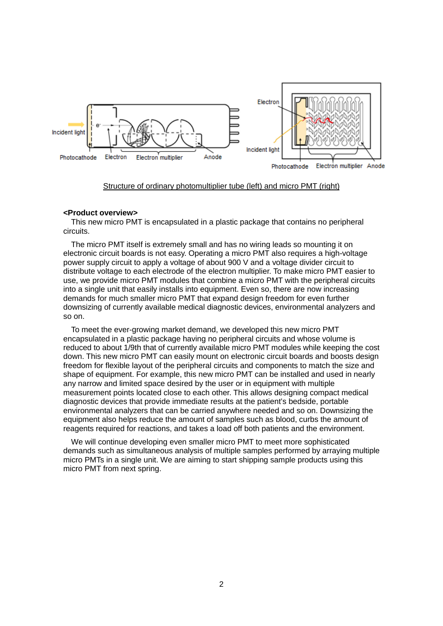

### Structure of ordinary photomultiplier tube (left) and micro PMT (right)

#### **<Product overview>**

This new micro PMT is encapsulated in a plastic package that contains no peripheral circuits.

The micro PMT itself is extremely small and has no wiring leads so mounting it on electronic circuit boards is not easy. Operating a micro PMT also requires a high-voltage power supply circuit to apply a voltage of about 900 V and a voltage divider circuit to distribute voltage to each electrode of the electron multiplier. To make micro PMT easier to use, we provide micro PMT modules that combine a micro PMT with the peripheral circuits into a single unit that easily installs into equipment. Even so, there are now increasing demands for much smaller micro PMT that expand design freedom for even further downsizing of currently available medical diagnostic devices, environmental analyzers and so on.

To meet the ever-growing market demand, we developed this new micro PMT encapsulated in a plastic package having no peripheral circuits and whose volume is reduced to about 1/9th that of currently available micro PMT modules while keeping the cost down. This new micro PMT can easily mount on electronic circuit boards and boosts design freedom for flexible layout of the peripheral circuits and components to match the size and shape of equipment. For example, this new micro PMT can be installed and used in nearly any narrow and limited space desired by the user or in equipment with multiple measurement points located close to each other. This allows designing compact medical diagnostic devices that provide immediate results at the patient's bedside, portable environmental analyzers that can be carried anywhere needed and so on. Downsizing the equipment also helps reduce the amount of samples such as blood, curbs the amount of reagents required for reactions, and takes a load off both patients and the environment.

We will continue developing even smaller micro PMT to meet more sophisticated demands such as simultaneous analysis of multiple samples performed by arraying multiple micro PMTs in a single unit. We are aiming to start shipping sample products using this micro PMT from next spring.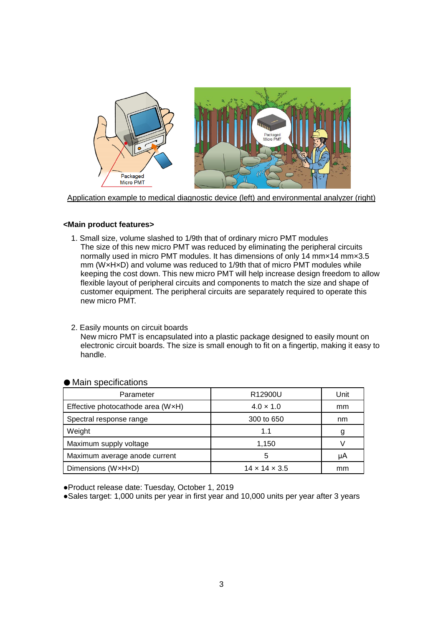

Application example to medical diagnostic device (left) and environmental analyzer (right)

## **<Main product features>**

- 1. Small size, volume slashed to 1/9th that of ordinary micro PMT modules The size of this new micro PMT was reduced by eliminating the peripheral circuits normally used in micro PMT modules. It has dimensions of only 14 mm×14 mm×3.5 mm (W×H×D) and volume was reduced to 1/9th that of micro PMT modules while keeping the cost down. This new micro PMT will help increase design freedom to allow flexible layout of peripheral circuits and components to match the size and shape of customer equipment. The peripheral circuits are separately required to operate this new micro PMT.
- 2. Easily mounts on circuit boards

New micro PMT is encapsulated into a plastic package designed to easily mount on electronic circuit boards. The size is small enough to fit on a fingertip, making it easy to handle.

# ● Main specifications

| Parameter                         | R <sub>12900</sub> U      | Unit |
|-----------------------------------|---------------------------|------|
| Effective photocathode area (WxH) | $4.0 \times 1.0$          | mm   |
| Spectral response range           | 300 to 650                | nm   |
| Weight                            | 1.1                       |      |
| Maximum supply voltage            | 1,150                     |      |
| Maximum average anode current     | 5                         | uА   |
| Dimensions (WxHxD)                | $14 \times 14 \times 3.5$ | mm   |

●Product release date: Tuesday, October 1, 2019

●Sales target: 1,000 units per year in first year and 10,000 units per year after 3 years